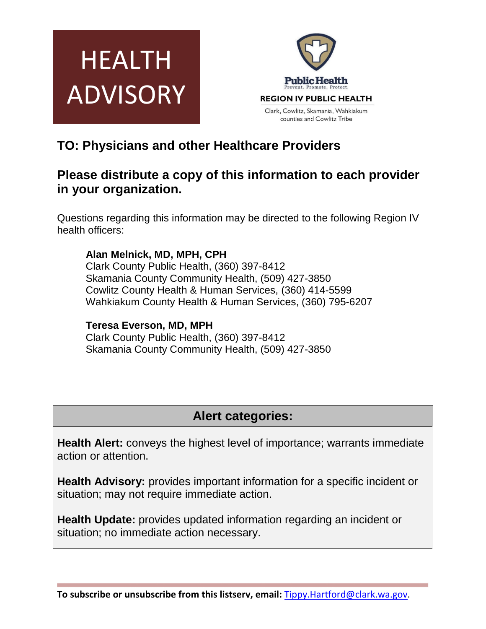



# **TO: Physicians and other Healthcare Providers**

## **Please distribute a copy of this information to each provider in your organization.**

Questions regarding this information may be directed to the following Region IV health officers:

### **Alan Melnick, MD, MPH, CPH**

Clark County Public Health, (360) 397-8412 Skamania County Community Health, (509) 427-3850 Cowlitz County Health & Human Services, (360) 414-5599 Wahkiakum County Health & Human Services, (360) 795-6207

### **Teresa Everson, MD, MPH**

Clark County Public Health, (360) 397-8412 Skamania County Community Health, (509) 427-3850

# **Alert categories:**

**Health Alert:** conveys the highest level of importance; warrants immediate action or attention.

**Health Advisory:** provides important information for a specific incident or situation; may not require immediate action.

**Health Update:** provides updated information regarding an incident or situation; no immediate action necessary.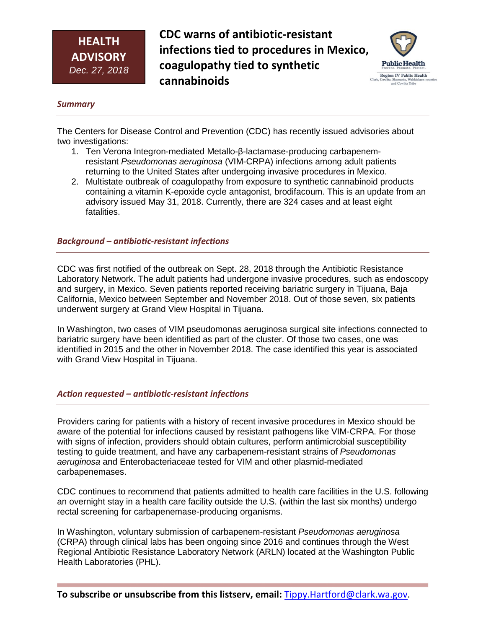**CDC warns of antibiotic-resistant infections tied to procedures in Mexico, coagulopathy tied to synthetic cannabinoids** 



#### *Summary*

The Centers for Disease Control and Prevention (CDC) has recently issued advisories about two investigations:

- 1. Ten Verona Integron-mediated Metallo-β-lactamase-producing carbapenemresistant *Pseudomonas aeruginosa* (VIM-CRPA) infections among adult patients returning to the United States after undergoing invasive procedures in Mexico.
- 2. Multistate outbreak of coagulopathy from exposure to synthetic cannabinoid products containing a vitamin K-epoxide cycle antagonist, brodifacoum. This is an update from an advisory issued May 31, 2018. Currently, there are 324 cases and at least eight fatalities.

#### *Background – antibiotic-resistant infections*

CDC was first notified of the outbreak on Sept. 28, 2018 through the Antibiotic Resistance Laboratory Network. The adult patients had undergone invasive procedures, such as endoscopy and surgery, in Mexico. Seven patients reported receiving bariatric surgery in Tijuana, Baja California, Mexico between September and November 2018. Out of those seven, six patients underwent surgery at Grand View Hospital in Tijuana.

In Washington, two cases of VIM pseudomonas aeruginosa surgical site infections connected to bariatric surgery have been identified as part of the cluster. Of those two cases, one was identified in 2015 and the other in November 2018. The case identified this year is associated with Grand View Hospital in Tijuana.

#### *Action requested – antibiotic-resistant infections*

Providers caring for patients with a history of recent invasive procedures in Mexico should be aware of the potential for infections caused by resistant pathogens like VIM-CRPA. For those with signs of infection, providers should obtain cultures, perform antimicrobial susceptibility testing to guide treatment, and have any carbapenem-resistant strains of *Pseudomonas aeruginosa* and Enterobacteriaceae tested for VIM and other plasmid-mediated carbapenemases.

CDC continues to recommend that patients admitted to health care facilities in the U.S. following an overnight stay in a health care facility outside the U.S. (within the last six months) undergo rectal screening for carbapenemase-producing organisms.

In Washington, voluntary submission of carbapenem-resistant *Pseudomonas aeruginosa* (CRPA) through clinical labs has been ongoing since 2016 and continues through the West Regional Antibiotic Resistance Laboratory Network (ARLN) located at the Washington Public Health Laboratories (PHL).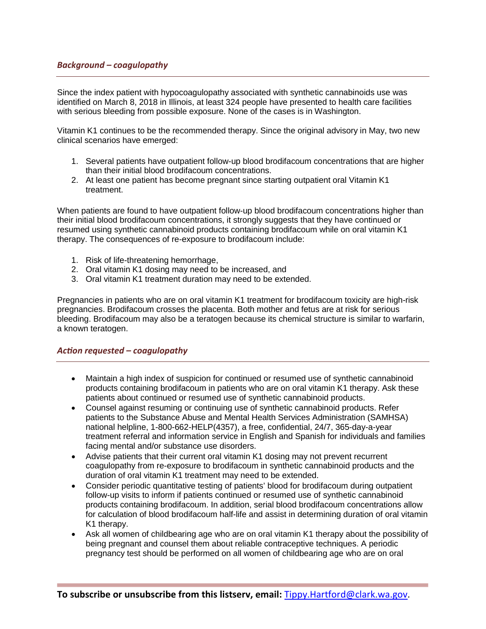Since the index patient with hypocoagulopathy associated with synthetic cannabinoids use was identified on March 8, 2018 in Illinois, at least 324 people have presented to health care facilities with serious bleeding from possible exposure. None of the cases is in Washington.

Vitamin K1 continues to be the recommended therapy. Since the original advisory in May, two new clinical scenarios have emerged:

- 1. Several patients have outpatient follow-up blood brodifacoum concentrations that are higher than their initial blood brodifacoum concentrations.
- 2. At least one patient has become pregnant since starting outpatient oral Vitamin K1 treatment.

When patients are found to have outpatient follow-up blood brodifacoum concentrations higher than their initial blood brodifacoum concentrations, it strongly suggests that they have continued or resumed using synthetic cannabinoid products containing brodifacoum while on oral vitamin K1 therapy. The consequences of re-exposure to brodifacoum include:

- 1. Risk of life-threatening hemorrhage,
- 2. Oral vitamin K1 dosing may need to be increased, and
- 3. Oral vitamin K1 treatment duration may need to be extended.

Pregnancies in patients who are on oral vitamin K1 treatment for brodifacoum toxicity are high-risk pregnancies. Brodifacoum crosses the placenta. Both mother and fetus are at risk for serious bleeding. Brodifacoum may also be a teratogen because its chemical structure is similar to warfarin, a known teratogen.

#### *Action requested – coagulopathy*

- Maintain a high index of suspicion for continued or resumed use of synthetic cannabinoid products containing brodifacoum in patients who are on oral vitamin K1 therapy. Ask these patients about continued or resumed use of synthetic cannabinoid products.
- Counsel against resuming or continuing use of synthetic cannabinoid products. Refer patients to the Substance Abuse and Mental Health Services Administration (SAMHSA) national helpline, 1-800-662-HELP(4357), a free, confidential, 24/7, 365-day-a-year treatment referral and information service in English and Spanish for individuals and families facing mental and/or substance use disorders.
- Advise patients that their current oral vitamin K1 dosing may not prevent recurrent coagulopathy from re-exposure to brodifacoum in synthetic cannabinoid products and the duration of oral vitamin K1 treatment may need to be extended.
- Consider periodic quantitative testing of patients' blood for brodifacoum during outpatient follow-up visits to inform if patients continued or resumed use of synthetic cannabinoid products containing brodifacoum. In addition, serial blood brodifacoum concentrations allow for calculation of blood brodifacoum half-life and assist in determining duration of oral vitamin K1 therapy.
- Ask all women of childbearing age who are on oral vitamin K1 therapy about the possibility of being pregnant and counsel them about reliable contraceptive techniques. A periodic pregnancy test should be performed on all women of childbearing age who are on oral